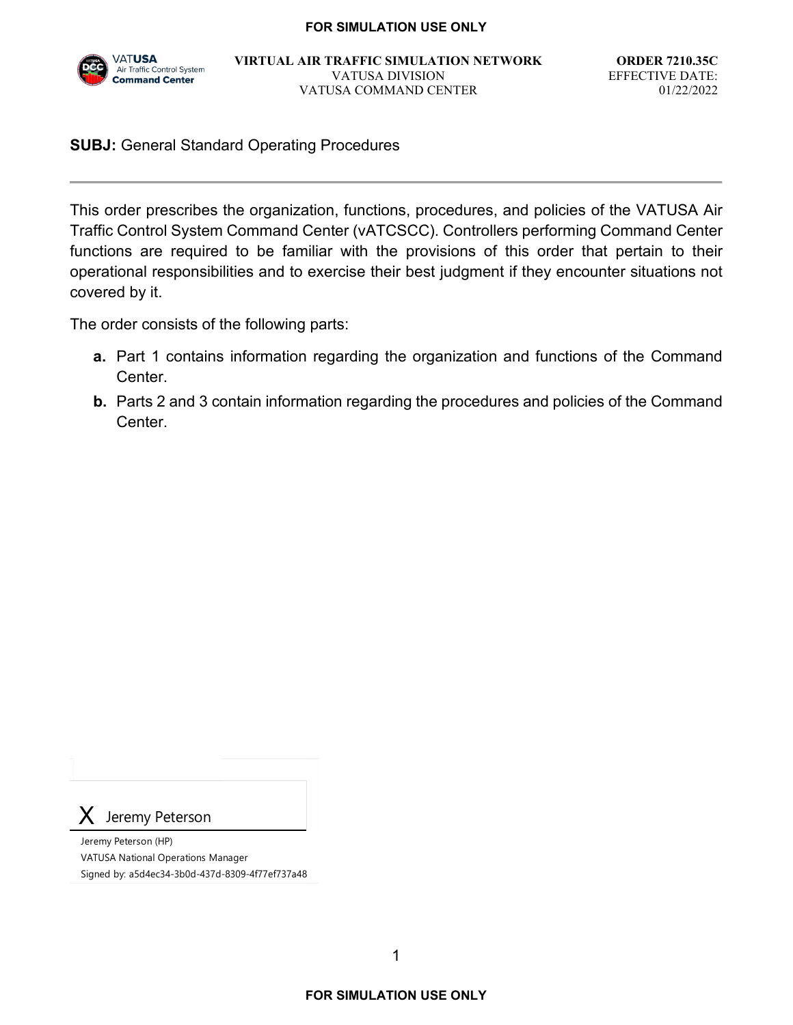

**VIRTUAL AIR TRAFFIC SIMULATION NETWORK** VATUSA DIVISION VATUSA COMMAND CENTER

**ORDER 7210.35C** EFFECTIVE DATE: 01/22/2022

#### **SUBJ:** General Standard Operating Procedures

This order prescribes the organization, functions, procedures, and policies of the VATUSA Air Traffic Control System Command Center (vATCSCC). Controllers performing Command Center functions are required to be familiar with the provisions of this order that pertain to their operational responsibilities and to exercise their best judgment if they encounter situations not covered by it.

The order consists of the following parts:

- **a.** Part 1 contains information regarding the organization and functions of the Command Center.
- **b.** Parts 2 and 3 contain information regarding the procedures and policies of the Command Center.

Jeremy Peterson

Jeremy Peterson (HP) VATUSA National Operations Manager Signed by: a5d4ec34-3b0d-437d-8309-4f77ef737a48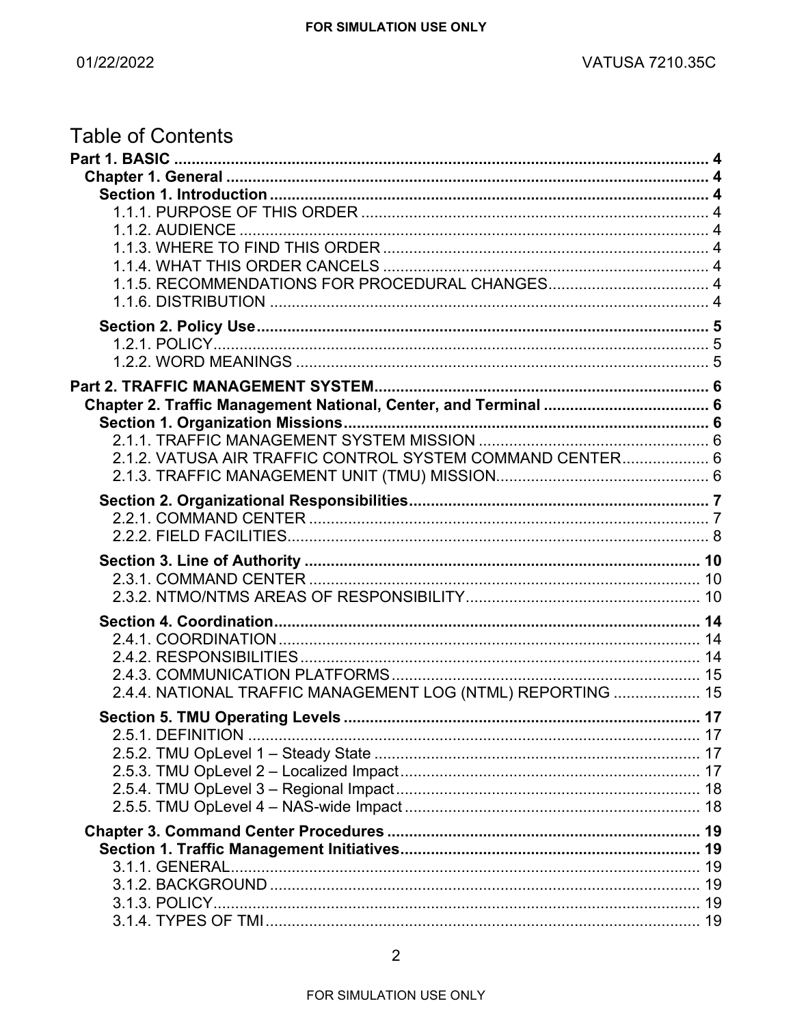| <b>Table of Contents</b>                                    |  |
|-------------------------------------------------------------|--|
|                                                             |  |
|                                                             |  |
|                                                             |  |
|                                                             |  |
| 1.1.2. AUDIENCE                                             |  |
|                                                             |  |
|                                                             |  |
|                                                             |  |
|                                                             |  |
|                                                             |  |
|                                                             |  |
|                                                             |  |
|                                                             |  |
|                                                             |  |
|                                                             |  |
| 2.1.2. VATUSA AIR TRAFFIC CONTROL SYSTEM COMMAND CENTER 6   |  |
|                                                             |  |
|                                                             |  |
|                                                             |  |
|                                                             |  |
|                                                             |  |
|                                                             |  |
|                                                             |  |
|                                                             |  |
|                                                             |  |
|                                                             |  |
| 2.4.4. NATIONAL TRAFFIC MANAGEMENT LOG (NTML) REPORTING  15 |  |
|                                                             |  |
|                                                             |  |
|                                                             |  |
|                                                             |  |
|                                                             |  |
|                                                             |  |
|                                                             |  |
|                                                             |  |
|                                                             |  |
|                                                             |  |
|                                                             |  |
|                                                             |  |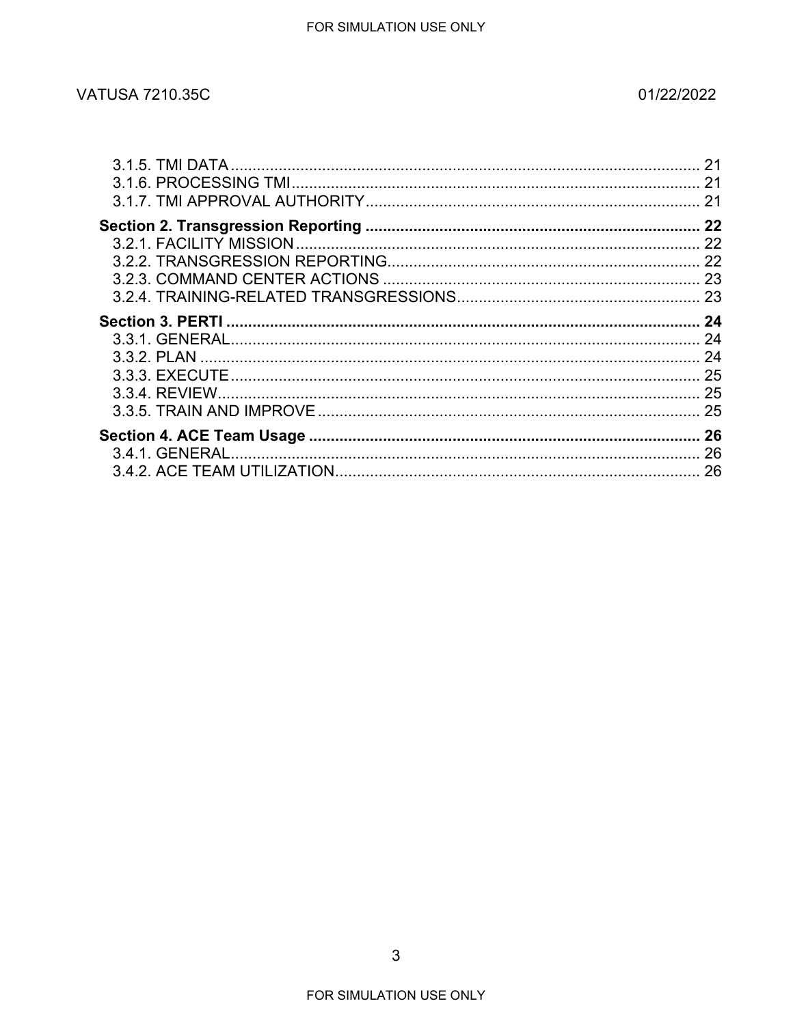### 01/22/2022

| 21 |
|----|
| 21 |
|    |
|    |
|    |
|    |
|    |
|    |
|    |
|    |
|    |
|    |
|    |
|    |
|    |
|    |
|    |
|    |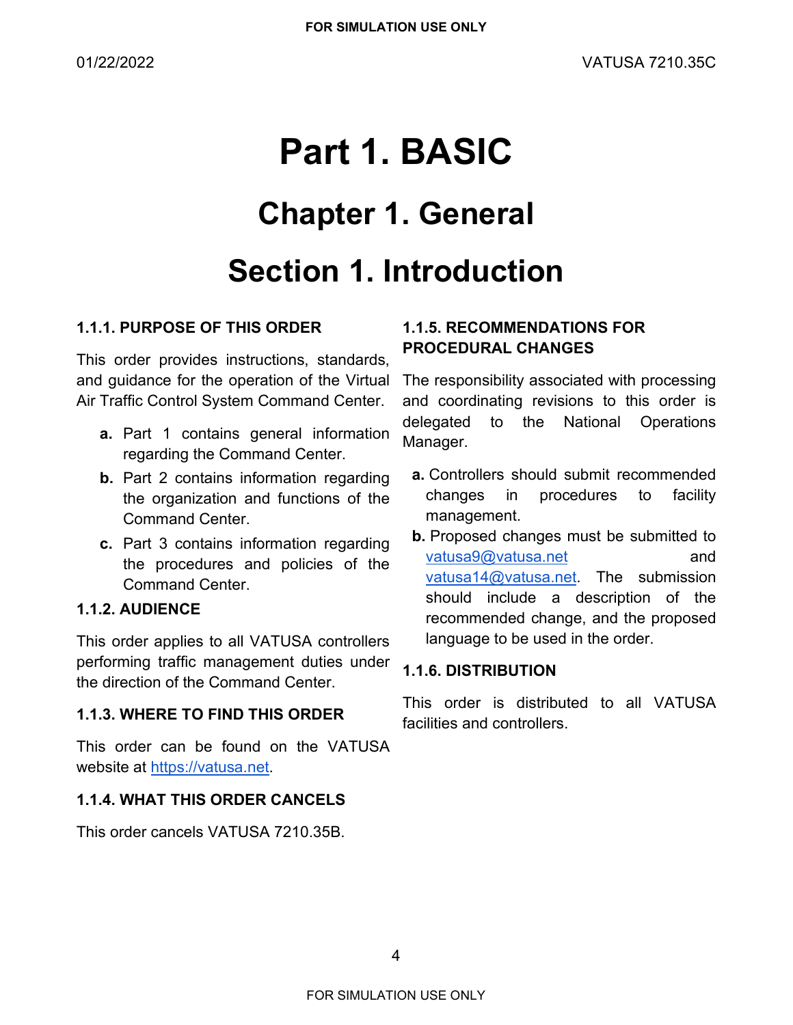# <span id="page-3-0"></span>**Part 1. BASIC Chapter 1. General Section 1. Introduction**

### <span id="page-3-3"></span><span id="page-3-2"></span><span id="page-3-1"></span>**1.1.1. PURPOSE OF THIS ORDER**

This order provides instructions, standards, and guidance for the operation of the Virtual Air Traffic Control System Command Center.

- **a.** Part 1 contains general information regarding the Command Center.
- **b.** Part 2 contains information regarding the organization and functions of the Command Center.
- **c.** Part 3 contains information regarding the procedures and policies of the Command Center.

### <span id="page-3-4"></span>**1.1.2. AUDIENCE**

This order applies to all VATUSA controllers performing traffic management duties under the direction of the Command Center.

### <span id="page-3-5"></span>**1.1.3. WHERE TO FIND THIS ORDER**

This order can be found on the VATUSA website at [https://vatusa.net.](https://vatusa.net/)

### <span id="page-3-6"></span>**1.1.4. WHAT THIS ORDER CANCELS**

This order cancels VATUSA 7210.35B.

### <span id="page-3-7"></span>**1.1.5. RECOMMENDATIONS FOR PROCEDURAL CHANGES**

The responsibility associated with processing and coordinating revisions to this order is delegated to the National Operations Manager.

- **a.** Controllers should submit recommended changes in procedures to facility management.
- **b.** Proposed changes must be submitted to [vatusa9@vatusa.net](mailto:vatusa15@vatusa.net) and [vatusa14@vatusa.net.](mailto:vatusa25@vatusa.net) The submission should include a description of the recommended change, and the proposed language to be used in the order.

### <span id="page-3-8"></span>**1.1.6. DISTRIBUTION**

This order is distributed to all VATUSA facilities and controllers.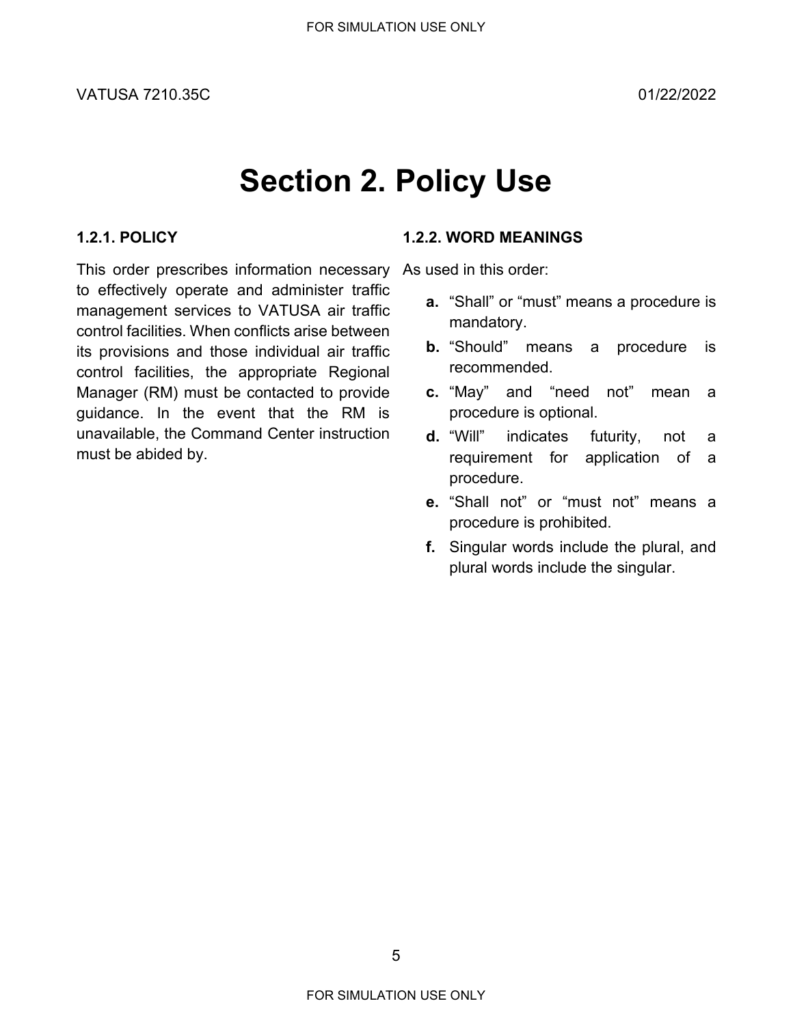# **Section 2. Policy Use**

### <span id="page-4-1"></span><span id="page-4-0"></span>**1.2.1. POLICY**

This order prescribes information necessary to effectively operate and administer traffic management services to VATUSA air traffic control facilities. When conflicts arise between its provisions and those individual air traffic control facilities, the appropriate Regional Manager (RM) must be contacted to provide guidance. In the event that the RM is unavailable, the Command Center instruction must be abided by.

#### <span id="page-4-2"></span>**1.2.2. WORD MEANINGS**

As used in this order:

- **a.** "Shall" or "must" means a procedure is mandatory.
- **b.** "Should" means a procedure is recommended.
- **c.** "May" and "need not" mean a procedure is optional.
- **d.** "Will" indicates futurity, not a requirement for application of a procedure.
- **e.** "Shall not" or "must not" means a procedure is prohibited.
- **f.** Singular words include the plural, and plural words include the singular.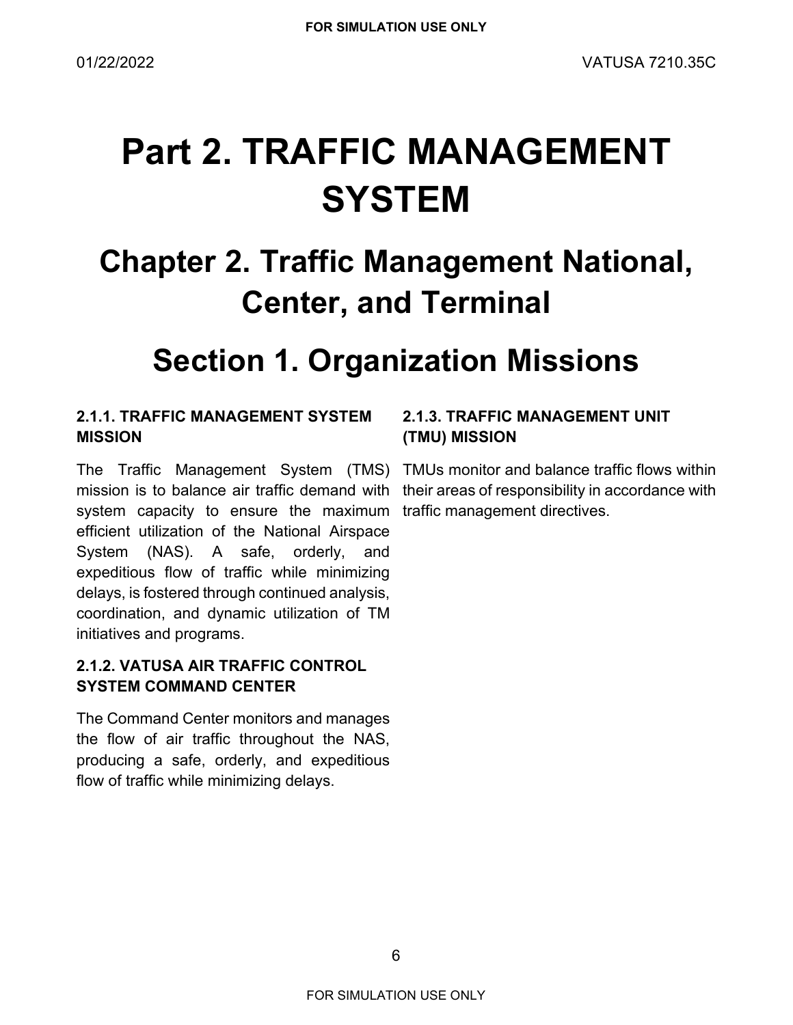# <span id="page-5-0"></span>**Part 2. TRAFFIC MANAGEMENT SYSTEM**

## <span id="page-5-1"></span>**Chapter 2. Traffic Management National, Center, and Terminal**

### **Section 1. Organization Missions**

### <span id="page-5-3"></span><span id="page-5-2"></span>**2.1.1. TRAFFIC MANAGEMENT SYSTEM MISSION**

The Traffic Management System (TMS) TMUs monitor and balance traffic flows within mission is to balance air traffic demand with their areas of responsibility in accordance with system capacity to ensure the maximum traffic management directives.efficient utilization of the National Airspace System (NAS). A safe, orderly, and expeditious flow of traffic while minimizing delays, is fostered through continued analysis, coordination, and dynamic utilization of TM initiatives and programs.

### <span id="page-5-4"></span>**2.1.2. VATUSA AIR TRAFFIC CONTROL SYSTEM COMMAND CENTER**

The Command Center monitors and manages the flow of air traffic throughout the NAS, producing a safe, orderly, and expeditious flow of traffic while minimizing delays.

### <span id="page-5-5"></span>**2.1.3. TRAFFIC MANAGEMENT UNIT (TMU) MISSION**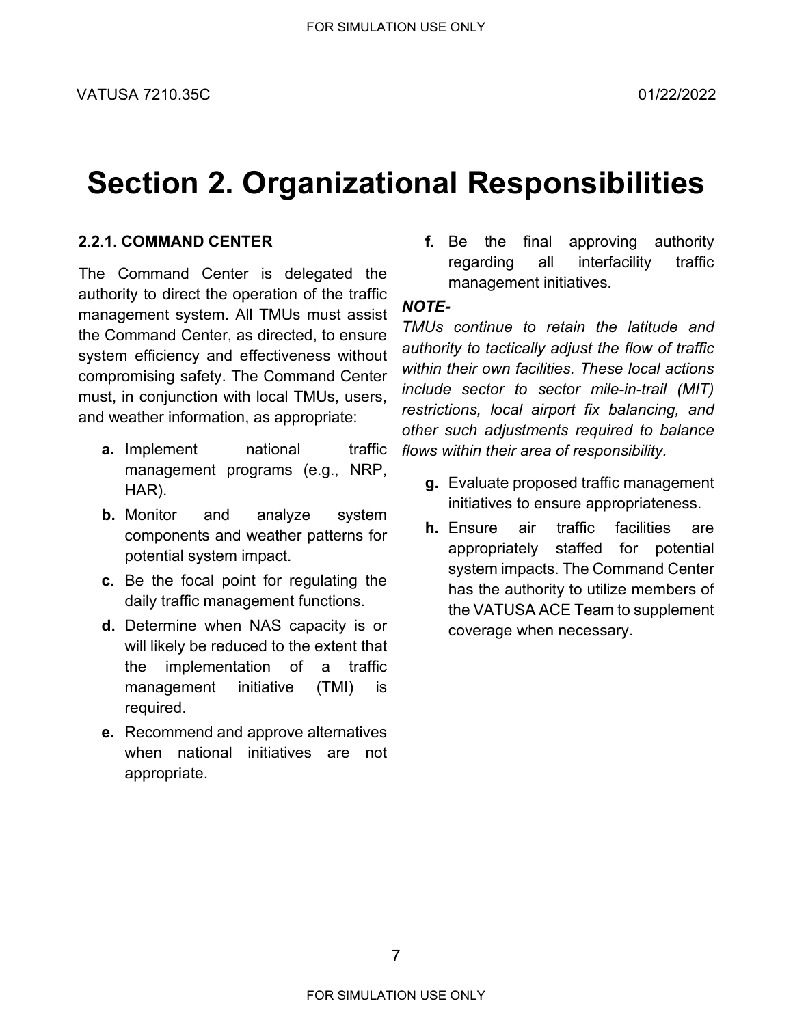### <span id="page-6-0"></span>**Section 2. Organizational Responsibilities**

### <span id="page-6-1"></span>**2.2.1. COMMAND CENTER**

The Command Center is delegated the authority to direct the operation of the traffic management system. All TMUs must assist the Command Center, as directed, to ensure system efficiency and effectiveness without compromising safety. The Command Center must, in conjunction with local TMUs, users, and weather information, as appropriate:

- **a.** Implement **national** traffic management programs (e.g., NRP, HAR).
- **b.** Monitor and analyze system components and weather patterns for potential system impact.
- **c.** Be the focal point for regulating the daily traffic management functions.
- **d.** Determine when NAS capacity is or will likely be reduced to the extent that the implementation of a traffic management initiative (TMI) is required.
- **e.** Recommend and approve alternatives when national initiatives are not appropriate.

**f.** Be the final approving authority regarding all interfacility traffic management initiatives.

### *NOTE-*

*TMUs continue to retain the latitude and authority to tactically adjust the flow of traffic within their own facilities. These local actions include sector to sector mile-in-trail (MIT) restrictions, local airport fix balancing, and other such adjustments required to balance flows within their area of responsibility.*

- **g.** Evaluate proposed traffic management initiatives to ensure appropriateness.
- **h.** Ensure air traffic facilities are appropriately staffed for potential system impacts. The Command Center has the authority to utilize members of the VATUSA ACE Team to supplement coverage when necessary.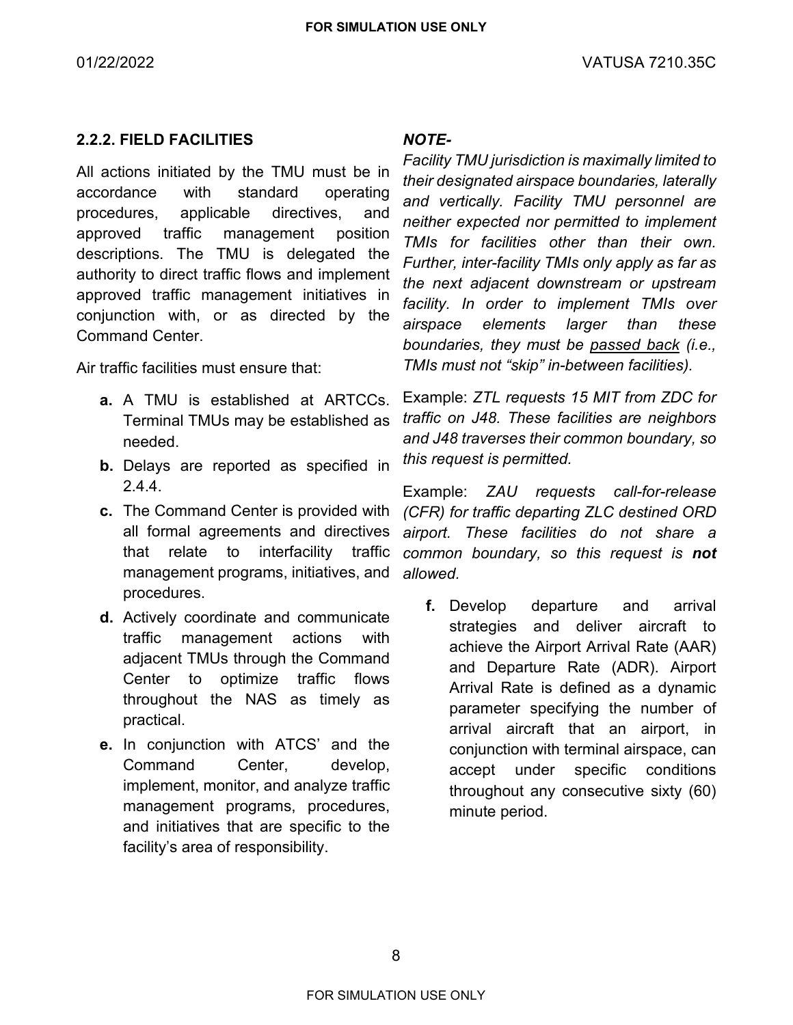#### <span id="page-7-0"></span>**2.2.2. FIELD FACILITIES**

All actions initiated by the TMU must be in accordance with standard operating procedures, applicable directives, and approved traffic management position descriptions. The TMU is delegated the authority to direct traffic flows and implement approved traffic management initiatives in conjunction with, or as directed by the Command Center.

Air traffic facilities must ensure that:

- **a.** A TMU is established at ARTCCs. Terminal TMUs may be established as needed.
- **b.** Delays are reported as specified in [2.4.4.](#page-14-2)
- **c.** The Command Center is provided with all formal agreements and directives that relate to interfacility traffic management programs, initiatives, and procedures.
- **d.** Actively coordinate and communicate traffic management actions with adjacent TMUs through the Command Center to optimize traffic flows throughout the NAS as timely as practical.
- **e.** In conjunction with ATCS' and the Command Center, develop, implement, monitor, and analyze traffic management programs, procedures, and initiatives that are specific to the facility's area of responsibility.

#### *NOTE-*

*Facility TMU jurisdiction is maximally limited to their designated airspace boundaries, laterally and vertically. Facility TMU personnel are neither expected nor permitted to implement TMIs for facilities other than their own. Further, inter-facility TMIs only apply as far as the next adjacent downstream or upstream facility. In order to implement TMIs over airspace elements larger than these boundaries, they must be passed back (i.e., TMIs must not "skip" in-between facilities).*

Example: *ZTL requests 15 MIT from ZDC for traffic on J48. These facilities are neighbors and J48 traverses their common boundary, so this request is permitted.*

Example: *ZAU requests call-for-release (CFR) for traffic departing ZLC destined ORD airport. These facilities do not share a common boundary, so this request is not allowed.*

**f.** Develop departure and arrival strategies and deliver aircraft to achieve the Airport Arrival Rate (AAR) and Departure Rate (ADR). Airport Arrival Rate is defined as a dynamic parameter specifying the number of arrival aircraft that an airport, in conjunction with terminal airspace, can accept under specific conditions throughout any consecutive sixty (60) minute period.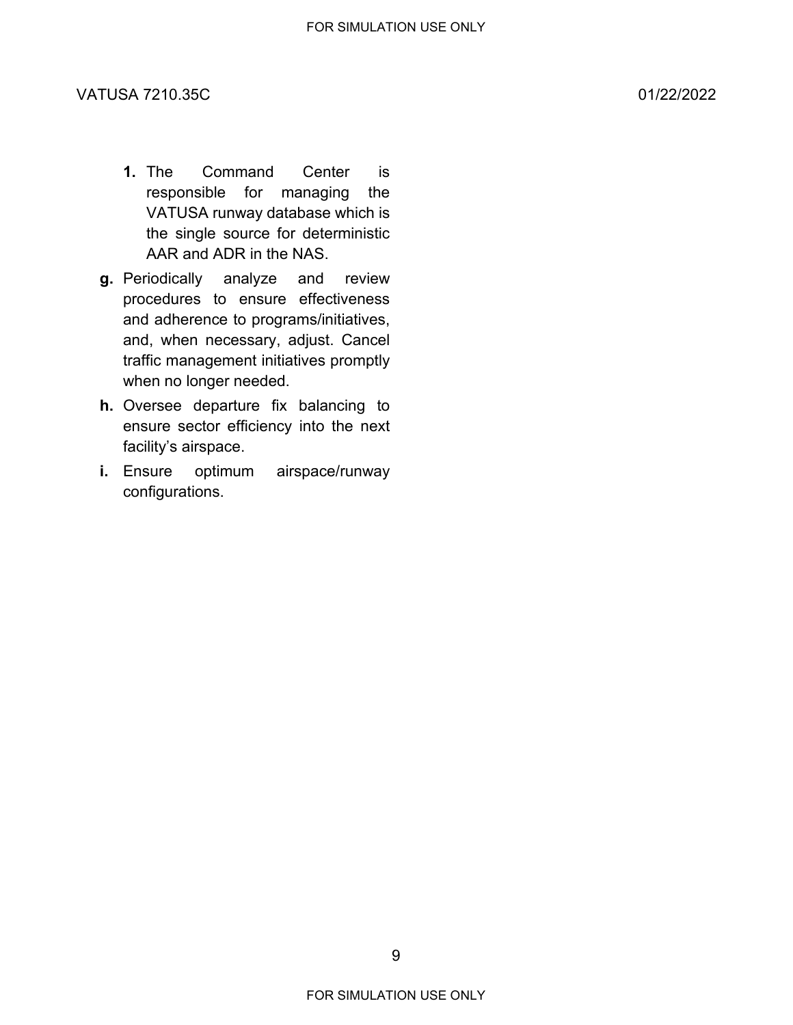- **1.** The Command Center is responsible for managing the VATUSA runway database which is the single source for deterministic AAR and ADR in the NAS.
- **g.** Periodically analyze and review procedures to ensure effectiveness and adherence to programs/initiatives, and, when necessary, adjust. Cancel traffic management initiatives promptly when no longer needed.
- **h.** Oversee departure fix balancing to ensure sector efficiency into the next facility's airspace.
- **i.** Ensure optimum airspace/runway configurations.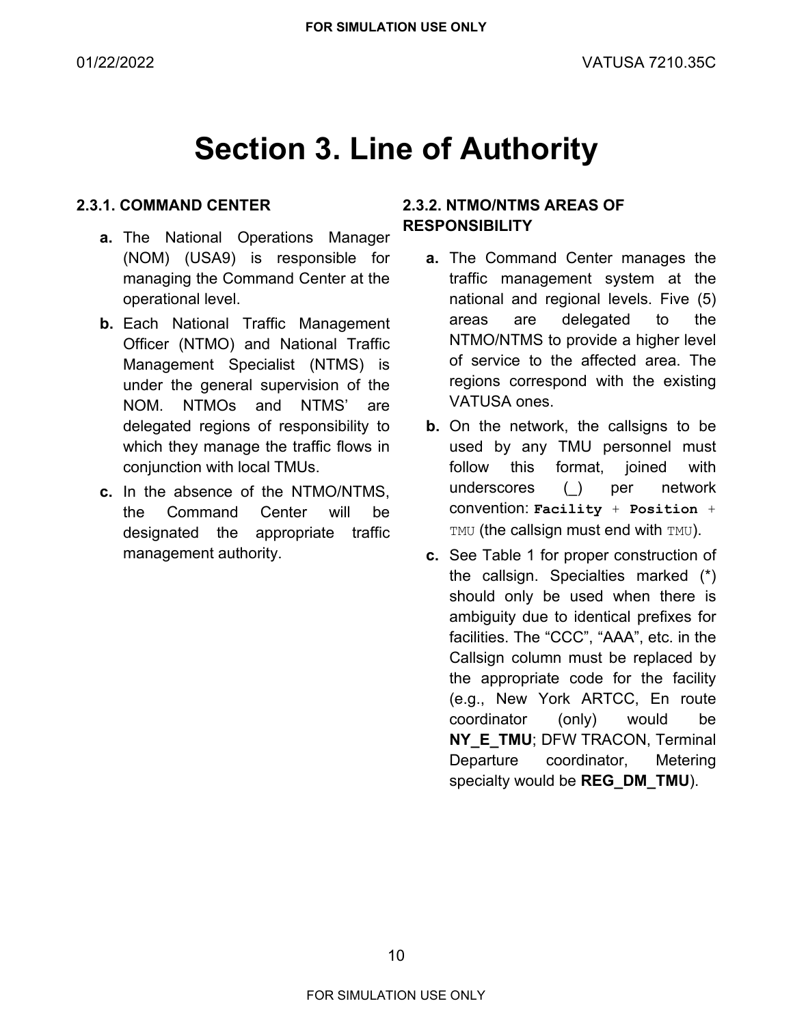### **Section 3. Line of Authority**

### <span id="page-9-1"></span><span id="page-9-0"></span>**2.3.1. COMMAND CENTER**

- **a.** The National Operations Manager (NOM) (USA9) is responsible for managing the Command Center at the operational level.
- **b.** Each National Traffic Management Officer (NTMO) and National Traffic Management Specialist (NTMS) is under the general supervision of the NOM. NTMOs and NTMS' are delegated regions of responsibility to which they manage the traffic flows in conjunction with local TMUs.
- **c.** In the absence of the NTMO/NTMS, the Command Center will be designated the appropriate traffic management authority.

### <span id="page-9-2"></span>**2.3.2. NTMO/NTMS AREAS OF RESPONSIBILITY**

- **a.** The Command Center manages the traffic management system at the national and regional levels. Five (5) areas are delegated to the NTMO/NTMS to provide a higher level of service to the affected area. The regions correspond with the existing VATUSA ones.
- **b.** On the network, the callsigns to be used by any TMU personnel must follow this format, joined with underscores (\_) per network convention: **Facility** + **Position** + TMU (the callsign must end with TMU).
- **c.** See [Table 1](#page-11-0) for proper construction of the callsign. Specialties marked (\*) should only be used when there is ambiguity due to identical prefixes for facilities. The "CCC", "AAA", etc. in the Callsign column must be replaced by the appropriate code for the facility (e.g., New York ARTCC, En route coordinator (only) would be **NY\_E\_TMU**; DFW TRACON, Terminal Departure coordinator, Metering specialty would be **REG\_DM\_TMU**).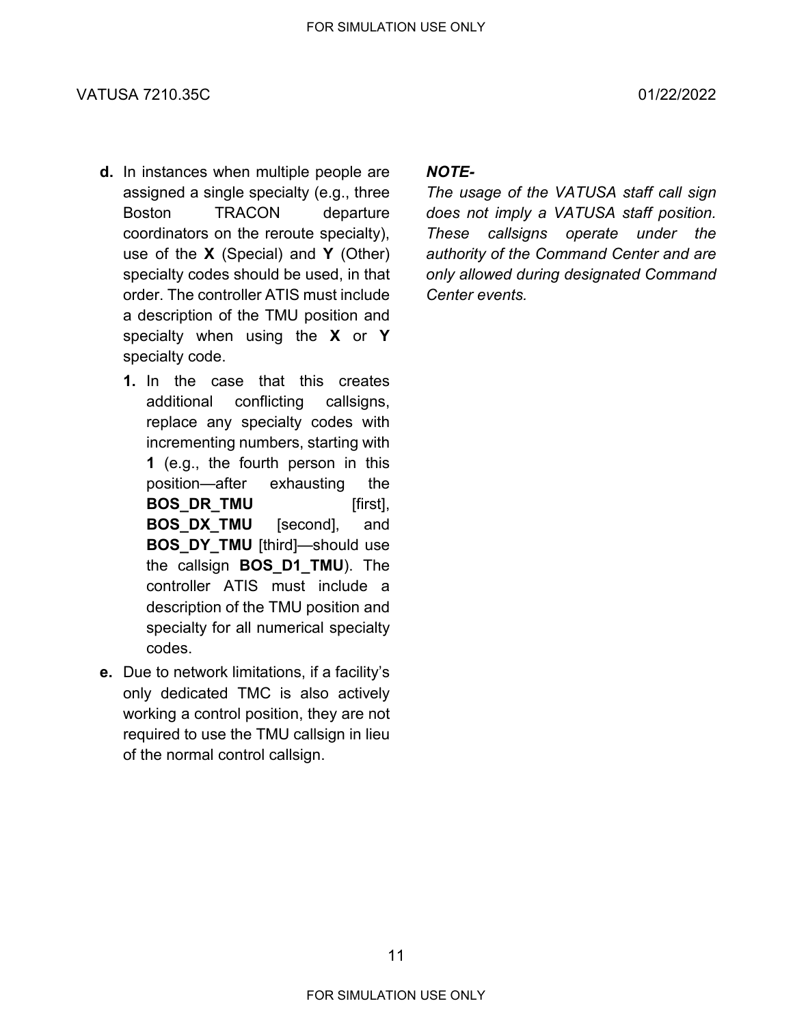#### VATUSA 7210.35C 01/22/2022

- **d.** In instances when multiple people are assigned a single specialty (e.g., three Boston TRACON departure coordinators on the reroute specialty), use of the **X** (Special) and **Y** (Other) specialty codes should be used, in that order. The controller ATIS must include a description of the TMU position and specialty when using the **X** or **Y** specialty code.
	- **1.** In the case that this creates additional conflicting callsigns, replace any specialty codes with incrementing numbers, starting with **1** (e.g., the fourth person in this position—after exhausting the **BOS\_DR\_TMU** [first], **BOS\_DX\_TMU** [second], and **BOS DY TMU** [third]—should use the callsign **BOS\_D1\_TMU**). The controller ATIS must include a description of the TMU position and specialty for all numerical specialty codes.
- **e.** Due to network limitations, if a facility's only dedicated TMC is also actively working a control position, they are not required to use the TMU callsign in lieu of the normal control callsign.

### *NOTE-*

*The usage of the VATUSA staff call sign does not imply a VATUSA staff position. These callsigns operate under the authority of the Command Center and are only allowed during designated Command Center events.*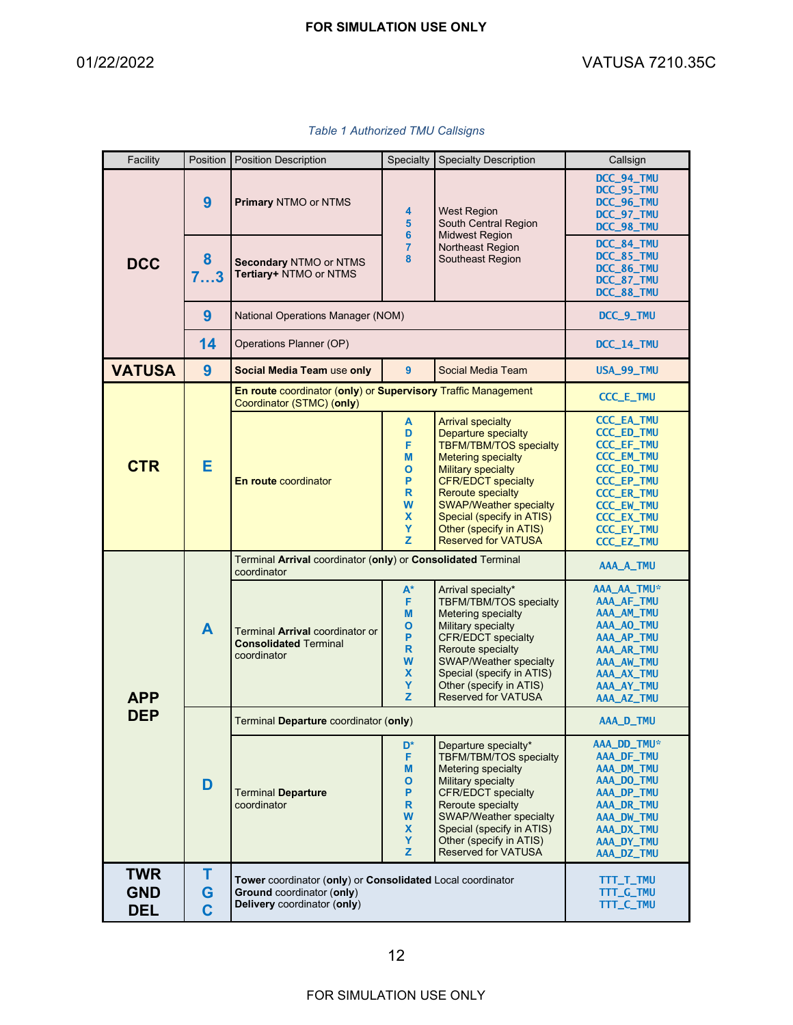<span id="page-11-0"></span> $\blacksquare$ 

Ш

T

| Facility                        | Position                 | <b>Position Description</b>                                                                                                   | Specialty                                                                 | <b>Specialty Description</b>                                                                                                                                                                                                                                                                                                      | Callsign                                                                                                                                                                                                                            |                                                                    |
|---------------------------------|--------------------------|-------------------------------------------------------------------------------------------------------------------------------|---------------------------------------------------------------------------|-----------------------------------------------------------------------------------------------------------------------------------------------------------------------------------------------------------------------------------------------------------------------------------------------------------------------------------|-------------------------------------------------------------------------------------------------------------------------------------------------------------------------------------------------------------------------------------|--------------------------------------------------------------------|
| <b>DCC</b>                      | 9                        | <b>Primary NTMO or NTMS</b>                                                                                                   | 4<br>5<br>6<br>$\overline{7}$<br>8                                        |                                                                                                                                                                                                                                                                                                                                   | <b>West Region</b><br>South Central Region                                                                                                                                                                                          | DCC_94_TMU<br>DCC_95_TMU<br>DCC_96_TMU<br>DCC_97_TMU<br>DCC_98_TMU |
|                                 | 8<br>73                  | Secondary NTMO or NTMS<br>Tertiary+ NTMO or NTMS                                                                              |                                                                           | <b>Midwest Region</b><br>Northeast Region<br>Southeast Region                                                                                                                                                                                                                                                                     | DCC_84_TMU<br>DCC_85_TMU<br>DCC_86_TMU<br>DCC_87_TMU<br>DCC_88_TMU                                                                                                                                                                  |                                                                    |
|                                 | 9                        | National Operations Manager (NOM)                                                                                             | DCC_9_TMU                                                                 |                                                                                                                                                                                                                                                                                                                                   |                                                                                                                                                                                                                                     |                                                                    |
|                                 | 14                       | Operations Planner (OP)                                                                                                       | DCC_14_TMU                                                                |                                                                                                                                                                                                                                                                                                                                   |                                                                                                                                                                                                                                     |                                                                    |
| <b>VATUSA</b>                   | 9                        | Social Media Team use only                                                                                                    | 9                                                                         | Social Media Team                                                                                                                                                                                                                                                                                                                 | USA_99_TMU                                                                                                                                                                                                                          |                                                                    |
| <b>CTR</b>                      |                          | En route coordinator (only) or Supervisory Traffic Management<br>Coordinator (STMC) (only)                                    |                                                                           |                                                                                                                                                                                                                                                                                                                                   | <b>CCC_E_TMU</b>                                                                                                                                                                                                                    |                                                                    |
|                                 | Е                        | <b>En route coordinator</b>                                                                                                   | A<br>D<br>F<br>M<br>О<br>P<br>$\mathsf{R}$<br>W<br>X<br>Y<br>$\mathbf{z}$ | <b>Arrival specialty</b><br><b>Departure specialty</b><br><b>TBFM/TBM/TOS specialty</b><br><b>Metering specialty</b><br><b>Military specialty</b><br><b>CFR/EDCT specialty</b><br><b>Reroute specialty</b><br><b>SWAP/Weather specialty</b><br>Special (specify in ATIS)<br>Other (specify in ATIS)<br><b>Reserved for VATUSA</b> | <b>CCC_EA_TMU</b><br><b>CCC_ED_TMU</b><br><b>CCC_EF_TMU</b><br><b>CCC_EM_TMU</b><br><b>CCC_EO_TMU</b><br><b>CCC_EP_TMU</b><br><b>CCC_ER_TMU</b><br><b>CCC_EW_TMU</b><br><b>CCC_EX_TMU</b><br><b>CCC_EY_TMU</b><br><b>CCC_EZ_TMU</b> |                                                                    |
|                                 | A                        | Terminal Arrival coordinator (only) or Consolidated Terminal<br>coordinator                                                   | AAA_A_TMU                                                                 |                                                                                                                                                                                                                                                                                                                                   |                                                                                                                                                                                                                                     |                                                                    |
| <b>APP</b><br><b>DEP</b>        |                          | Terminal Arrival coordinator or<br><b>Consolidated Terminal</b><br>coordinator                                                | $A^*$<br>F<br>M<br>О<br>P<br>R.<br>W<br>$\mathbf x$<br>Y<br>$\mathbf{z}$  | Arrival specialty*<br>TBFM/TBM/TOS specialty<br>Metering specialty<br><b>Military specialty</b><br><b>CFR/EDCT</b> specialty<br>Reroute specialty<br><b>SWAP/Weather specialty</b><br>Special (specify in ATIS)<br>Other (specify in ATIS)<br><b>Reserved for VATUSA</b>                                                          | AAA_AA_TMU*<br>AAA_AF_TMU<br>AAA_AM_TMU<br>AAA_AO_TMU<br>AAA_AP_TMU<br>AAA_AR_TMU<br>AAA_AW_TMU<br>AAA_AX_TMU<br>AAA_AY_TMU<br>AAA_AZ_TMU                                                                                           |                                                                    |
|                                 | D                        | Terminal Departure coordinator (only)                                                                                         |                                                                           |                                                                                                                                                                                                                                                                                                                                   | AAA_D_TMU                                                                                                                                                                                                                           |                                                                    |
|                                 |                          | <b>Terminal Departure</b><br>coordinator                                                                                      | D <sup>*</sup><br>F<br>M<br>О<br>P<br>R<br>W<br>$\mathbf x$<br>Y<br>Z.    | Departure specialty*<br>TBFM/TBM/TOS specialty<br>Metering specialty<br>Military specialty<br><b>CFR/EDCT</b> specialty<br>Reroute specialty<br><b>SWAP/Weather specialty</b><br>Special (specify in ATIS)<br>Other (specify in ATIS)<br><b>Reserved for VATUSA</b>                                                               | AAA_DD_TMU*<br>AAA_DF_TMU<br>AAA_DM_TMU<br>AAA_DO_TMU<br>AAA_DP_TMU<br>AAA_DR_TMU<br>AAA_DW_TMU<br>AAA_DX_TMU<br>AAA_DY_TMU<br>AAA_DZ_TMU                                                                                           |                                                                    |
| TWR<br><b>GND</b><br><b>DEL</b> | т<br>G<br>$\overline{C}$ | Tower coordinator (only) or Consolidated Local coordinator<br><b>Ground coordinator (only)</b><br>Delivery coordinator (only) |                                                                           |                                                                                                                                                                                                                                                                                                                                   | TTT_T_TMU<br>TTT_G_TMU<br>TTT_C_TMU                                                                                                                                                                                                 |                                                                    |

#### *Table 1 Authorized TMU Callsigns*

--

 $\overline{\phantom{0}}$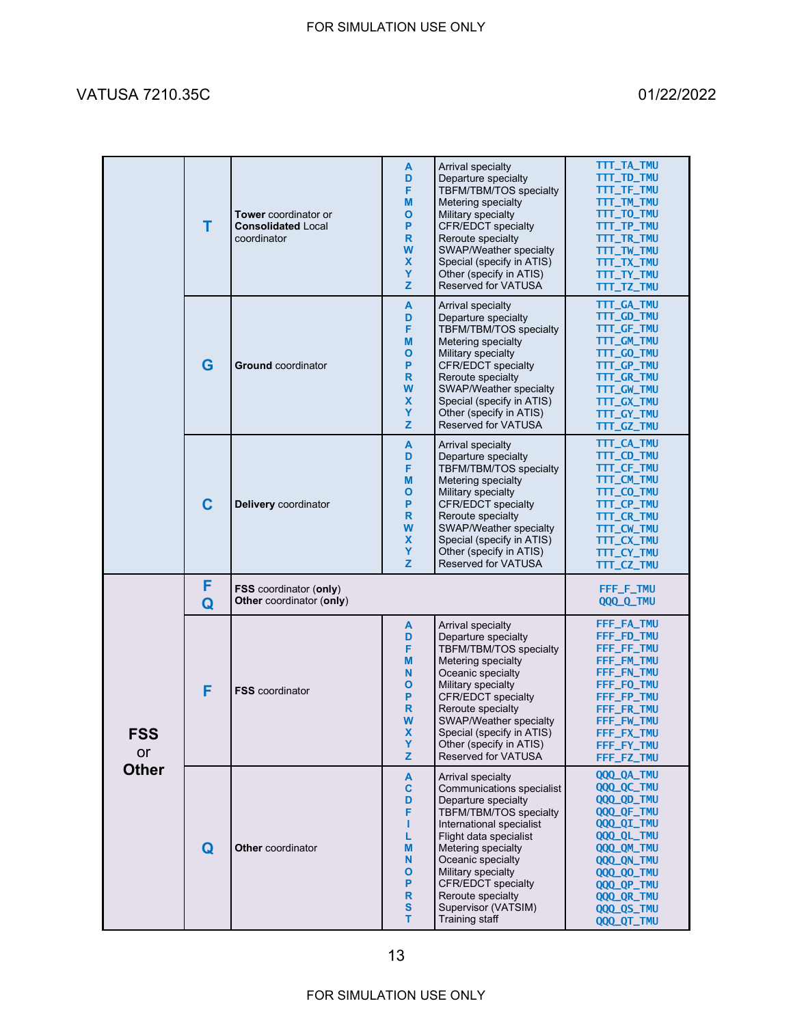### VATUSA 7210.35C 01/22/2022

|                                  | т           | Tower coordinator or<br><b>Consolidated Local</b><br>coordinator | A<br>D<br>F<br>M<br>O<br>P<br>$\mathsf{R}$<br>W<br>$\boldsymbol{\mathsf{x}}$<br>Y<br>z  | Arrival specialty<br>Departure specialty<br>TBFM/TBM/TOS specialty<br>Metering specialty<br>Military specialty<br><b>CFR/EDCT</b> specialty<br>Reroute specialty<br>SWAP/Weather specialty<br>Special (specify in ATIS)<br>Other (specify in ATIS)<br>Reserved for VATUSA                                                | TTT_TA_TMU<br>TTT_TD_TMU<br>TTT_TF_TMU<br>TTT_TM_TMU<br>TTT_TO_TMU<br>TTT_TP_TMU<br>TTT_TR_TMU<br>TTT_TW_TMU<br>TTT_TX_TMU<br>TTT_TY_TMU<br>TTT_TZ_TMU                                    |
|----------------------------------|-------------|------------------------------------------------------------------|-----------------------------------------------------------------------------------------|--------------------------------------------------------------------------------------------------------------------------------------------------------------------------------------------------------------------------------------------------------------------------------------------------------------------------|-------------------------------------------------------------------------------------------------------------------------------------------------------------------------------------------|
|                                  | G           | <b>Ground</b> coordinator                                        | A<br>D<br>F<br>M<br>O<br>P<br>R<br>W<br>$\boldsymbol{\mathsf{x}}$<br>Y<br>Z             | Arrival specialty<br>Departure specialty<br>TBFM/TBM/TOS specialty<br>Metering specialty<br>Military specialty<br><b>CFR/EDCT</b> specialty<br>Reroute specialty<br>SWAP/Weather specialty<br>Special (specify in ATIS)<br>Other (specify in ATIS)<br>Reserved for VATUSA                                                | TTT_GA_TMU<br>TTT_GD_TMU<br>TTT_GF_TMU<br>TTT_GM_TMU<br>TTT_GO_TMU<br>TTT_GP_TMU<br>TTT_GR_TMU<br>TTT_GW_TMU<br>TTT_GX_TMU<br>TTT_GY_TMU<br>TTT_GZ_TMU                                    |
|                                  | $\mathbf C$ | Delivery coordinator                                             | A<br>D<br>F<br>M<br>O<br>P<br>$\mathsf{R}$<br>W<br>$\boldsymbol{\mathsf{x}}$<br>Y<br>Z. | Arrival specialty<br>Departure specialty<br>TBFM/TBM/TOS specialty<br>Metering specialty<br>Military specialty<br><b>CFR/EDCT</b> specialty<br>Reroute specialty<br>SWAP/Weather specialty<br>Special (specify in ATIS)<br>Other (specify in ATIS)<br>Reserved for VATUSA                                                | TTT_CA_TMU<br>TTT_CD_TMU<br>TTT_CF_TMU<br>TTT_CM_TMU<br>TTT_CO_TMU<br>TTT_CP_TMU<br>TTT_CR_TMU<br>TTT_CW_TMU<br>TTT_CX_TMU<br>TTT_CY_TMU<br>TTT_CZ_TMU                                    |
| <b>FSS</b><br>or<br><b>Other</b> | F<br>Q      | FSS coordinator (only)<br>Other coordinator (only)               |                                                                                         |                                                                                                                                                                                                                                                                                                                          | FFF_F_TMU<br>QQQ_Q_TMU                                                                                                                                                                    |
|                                  | F           | <b>FSS</b> coordinator                                           | A<br>D<br>F<br>M<br>N<br>O<br>P<br>$\mathbf R$<br>W<br>X<br>Y<br>z                      | Arrival specialty<br>Departure specialty<br>TBFM/TBM/TOS specialty<br>Metering specialty<br>Oceanic specialty<br>Military specialty<br><b>CFR/EDCT</b> specialty<br>Reroute specialty<br>SWAP/Weather specialty<br>Special (specify in ATIS)<br>Other (specify in ATIS)<br><b>Reserved for VATUSA</b>                    | FFF_FA_TMU<br>FFF_FD_TMU<br>FFF_FF_TMU<br>FFF_FM_TMU<br>FFF_FN_TMU<br>FFF_FO_TMU<br>FFF_FP_TMU<br>FFF_FR_TMU<br>FFF_FW_TMU<br>FFF_FX_TMU<br>FFF_FY_TMU<br>FFF_FZ_TMU                      |
|                                  | Q           | <b>Other</b> coordinator                                         | A<br>$\mathbf c$<br>D<br>F<br>т<br>L<br>M<br>N<br>O<br>P<br>R<br>$\mathbf{s}$<br>т      | Arrival specialty<br>Communications specialist<br>Departure specialty<br><b>TBFM/TBM/TOS specialty</b><br>International specialist<br>Flight data specialist<br>Metering specialty<br>Oceanic specialty<br>Military specialty<br><b>CFR/EDCT</b> specialty<br>Reroute specialty<br>Supervisor (VATSIM)<br>Training staff | QQQ_QA_TMU<br>QQQ_QC_TMU<br>QQQ_QD_TMU<br>QQQ_QF_TMU<br>QQQ_QI_TMU<br>QQQ_QL_TMU<br>QQQ_QM_TMU<br>QQQ_QN_TMU<br><b>QQQ_QO_TMU</b><br>QQQ_QP_TMU<br>QQQ_QR_TMU<br>QQQ_QS_TMU<br>QQQ_QT_TMU |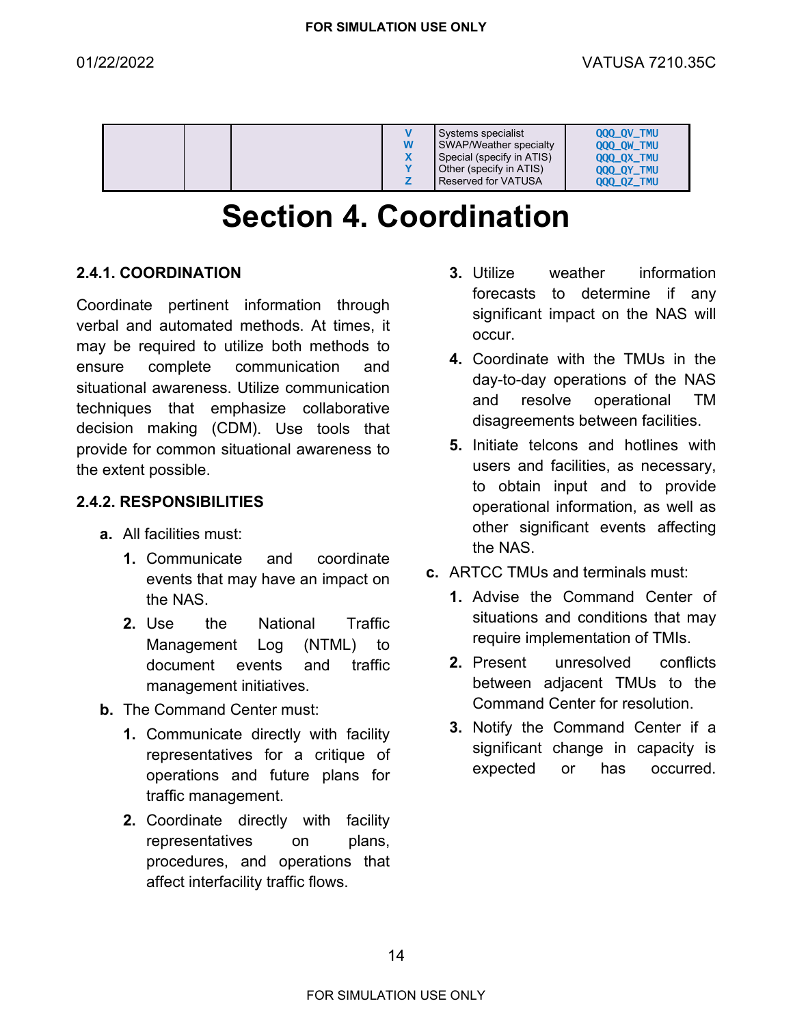|  | W | Systems specialist<br>SWAP/Weather specialty<br>Special (specify in ATIS)<br>Other (specify in ATIS)<br><b>Reserved for VATUSA</b> | <b>000 OV TMU</b><br><b>000 OW TMU</b><br><b>000 OX TMU</b><br>QQQ_QY_TMU<br><b>000 0Z TMU</b> |
|--|---|------------------------------------------------------------------------------------------------------------------------------------|------------------------------------------------------------------------------------------------|
|--|---|------------------------------------------------------------------------------------------------------------------------------------|------------------------------------------------------------------------------------------------|

### **Section 4. Coordination**

### <span id="page-13-1"></span><span id="page-13-0"></span>**2.4.1. COORDINATION**

Coordinate pertinent information through verbal and automated methods. At times, it may be required to utilize both methods to ensure complete communication and situational awareness. Utilize communication techniques that emphasize collaborative decision making (CDM). Use tools that provide for common situational awareness to the extent possible.

### <span id="page-13-2"></span>**2.4.2. RESPONSIBILITIES**

- **a.** All facilities must:
	- **1.** Communicate and coordinate events that may have an impact on the NAS.
	- **2.** Use the National Traffic Management Log (NTML) to document events and traffic management initiatives.
- **b.** The Command Center must:
	- **1.** Communicate directly with facility representatives for a critique of operations and future plans for traffic management.
	- **2.** Coordinate directly with facility representatives on plans, procedures, and operations that affect interfacility traffic flows.
- **3.** Utilize weather information forecasts to determine if any significant impact on the NAS will occur.
- **4.** Coordinate with the TMUs in the day-to-day operations of the NAS and resolve operational TM disagreements between facilities.
- **5.** Initiate telcons and hotlines with users and facilities, as necessary, to obtain input and to provide operational information, as well as other significant events affecting the NAS.
- **c.** ARTCC TMUs and terminals must:
	- **1.** Advise the Command Center of situations and conditions that may require implementation of TMIs.
	- **2.** Present unresolved conflicts between adjacent TMUs to the Command Center for resolution.
	- **3.** Notify the Command Center if a significant change in capacity is expected or has occurred.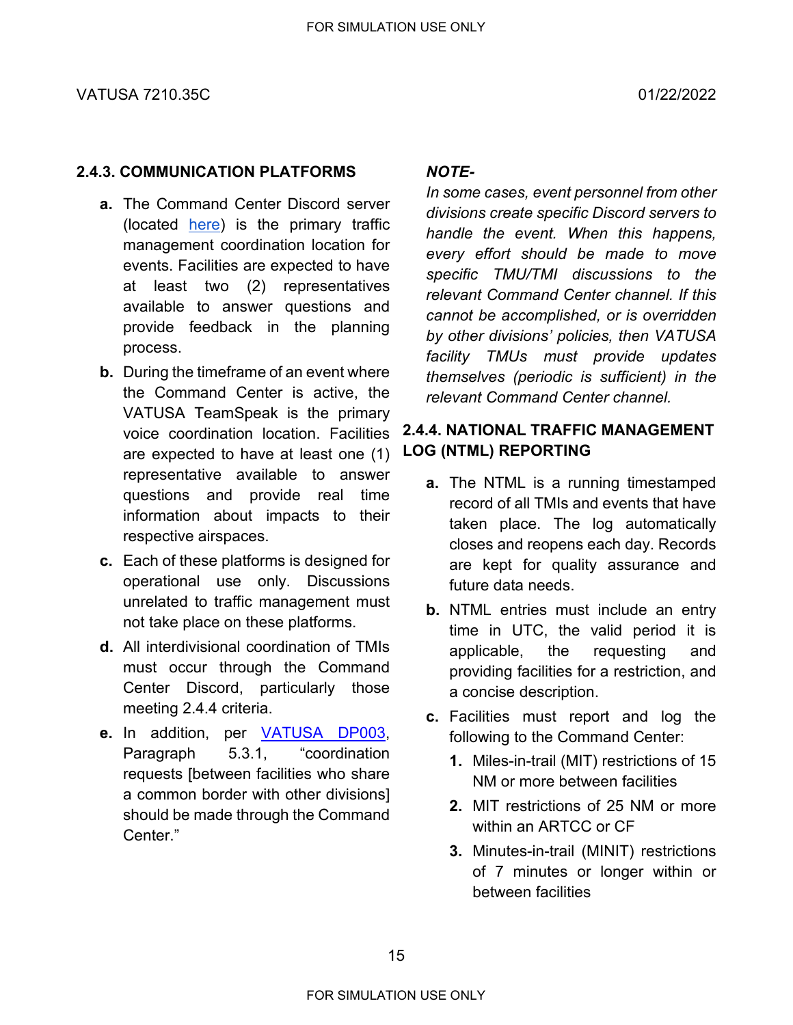### <span id="page-14-0"></span>**2.4.3. COMMUNICATION PLATFORMS**

- **a.** The Command Center Discord server (located [here\)](https://vats.im/CommandCenter) is the primary traffic management coordination location for events. Facilities are expected to have at least two (2) representatives available to answer questions and provide feedback in the planning process.
- **b.** During the timeframe of an event where the Command Center is active, the VATUSA TeamSpeak is the primary voice coordination location. Facilities are expected to have at least one (1) representative available to answer questions and provide real time information about impacts to their respective airspaces.
- **c.** Each of these platforms is designed for operational use only. Discussions unrelated to traffic management must not take place on these platforms.
- **d.** All interdivisional coordination of TMIs must occur through the Command Center Discord, particularly those meeting [2.4.4](#page-14-2) criteria.
- <span id="page-14-2"></span>**e.** In addition, per [VATUSA DP003,](https://www.vatusa.net/info/policies/general-events-policy) Paragraph 5.3.1, "coordination requests [between facilities who share a common border with other divisions] should be made through the Command Center."

### *NOTE-*

*In some cases, event personnel from other divisions create specific Discord servers to handle the event. When this happens, every effort should be made to move specific TMU/TMI discussions to the relevant Command Center channel. If this cannot be accomplished, or is overridden by other divisions' policies, then VATUSA facility TMUs must provide updates themselves (periodic is sufficient) in the relevant Command Center channel.*

### <span id="page-14-1"></span>**2.4.4. NATIONAL TRAFFIC MANAGEMENT LOG (NTML) REPORTING**

- **a.** The NTML is a running timestamped record of all TMIs and events that have taken place. The log automatically closes and reopens each day. Records are kept for quality assurance and future data needs.
- **b.** NTML entries must include an entry time in UTC, the valid period it is applicable, the requesting and providing facilities for a restriction, and a concise description.
- **c.** Facilities must report and log the following to the Command Center:
	- **1.** Miles-in-trail (MIT) restrictions of 15 NM or more between facilities
	- **2.** MIT restrictions of 25 NM or more within an ARTCC or CF
	- **3.** Minutes-in-trail (MINIT) restrictions of 7 minutes or longer within or between facilities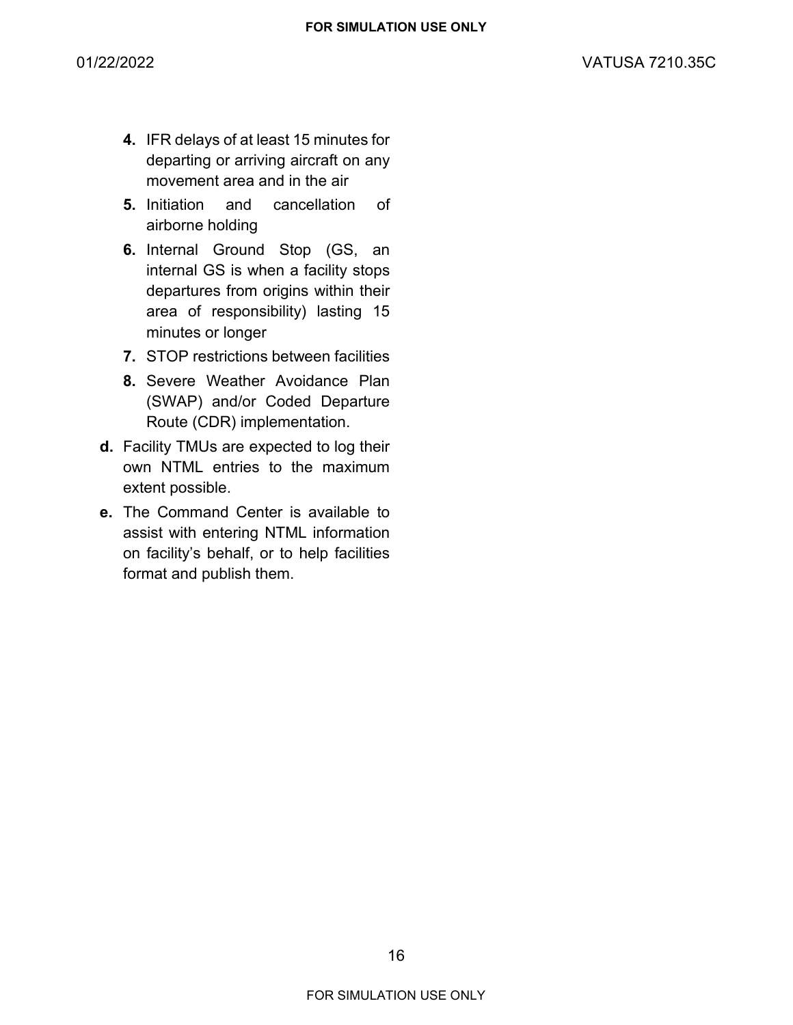- **4.** IFR delays of at least 15 minutes for departing or arriving aircraft on any movement area and in the air
- **5.** Initiation and cancellation of airborne holding
- **6.** Internal Ground Stop (GS, an internal GS is when a facility stops departures from origins within their area of responsibility) lasting 15 minutes or longer
- **7.** STOP restrictions between facilities
- **8.** Severe Weather Avoidance Plan (SWAP) and/or Coded Departure Route (CDR) implementation.
- **d.** Facility TMUs are expected to log their own NTML entries to the maximum extent possible.
- **e.** The Command Center is available to assist with entering NTML information on facility's behalf, or to help facilities format and publish them.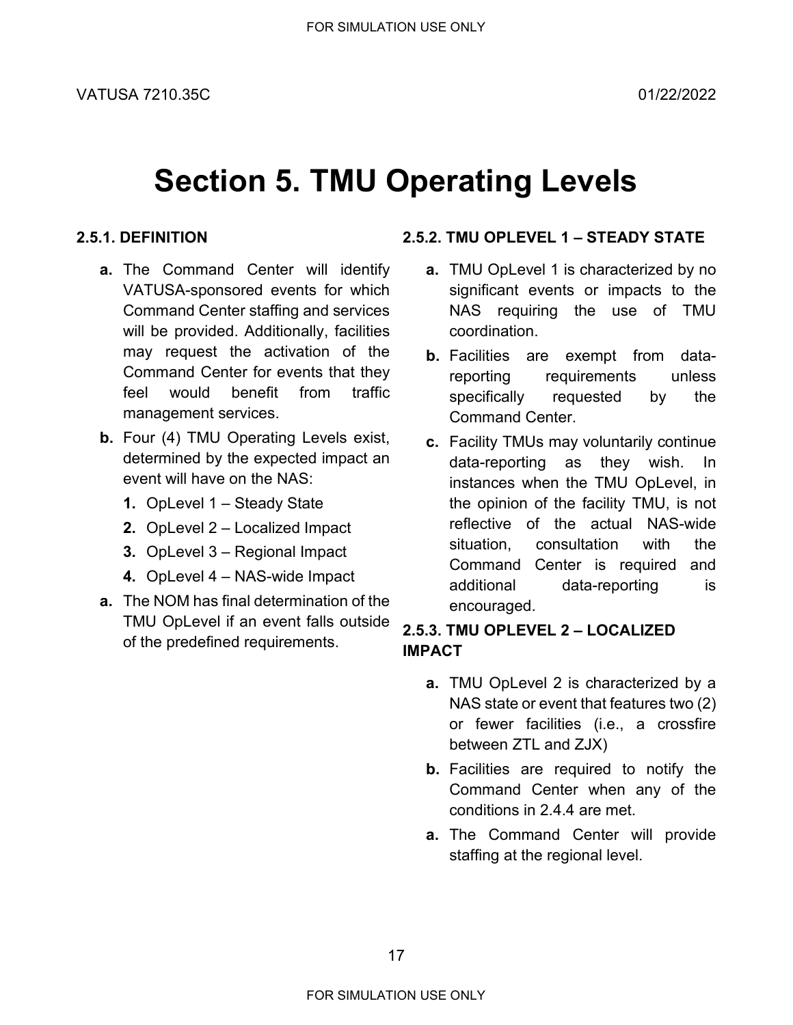### **Section 5. TMU Operating Levels**

### <span id="page-16-1"></span><span id="page-16-0"></span>**2.5.1. DEFINITION**

- **a.** The Command Center will identify VATUSA-sponsored events for which Command Center staffing and services will be provided. Additionally, facilities may request the activation of the Command Center for events that they feel would benefit from traffic management services.
- **b.** Four (4) TMU Operating Levels exist, determined by the expected impact an event will have on the NAS:
	- **1.** OpLevel 1 Steady State
	- **2.** OpLevel 2 Localized Impact
	- **3.** OpLevel 3 Regional Impact
	- **4.** OpLevel 4 NAS-wide Impact
- **a.** The NOM has final determination of the TMU OpLevel if an event falls outside of the predefined requirements.

### <span id="page-16-2"></span>**2.5.2. TMU OPLEVEL 1 – STEADY STATE**

- **a.** TMU OpLevel 1 is characterized by no significant events or impacts to the NAS requiring the use of TMU coordination.
- **b.** Facilities are exempt from datareporting requirements unless specifically requested by the Command Center.
- **c.** Facility TMUs may voluntarily continue data-reporting as they wish. In instances when the TMU OpLevel, in the opinion of the facility TMU, is not reflective of the actual NAS-wide situation, consultation with the Command Center is required and additional data-reporting is encouraged.

### <span id="page-16-3"></span>**2.5.3. TMU OPLEVEL 2 – LOCALIZED IMPACT**

- **a.** TMU OpLevel 2 is characterized by a NAS state or event that features two (2) or fewer facilities (i.e., a crossfire between ZTL and ZJX)
- **b.** Facilities are required to notify the Command Center when any of the conditions in [2.4.4](#page-14-2) are met.
- **a.** The Command Center will provide staffing at the regional level.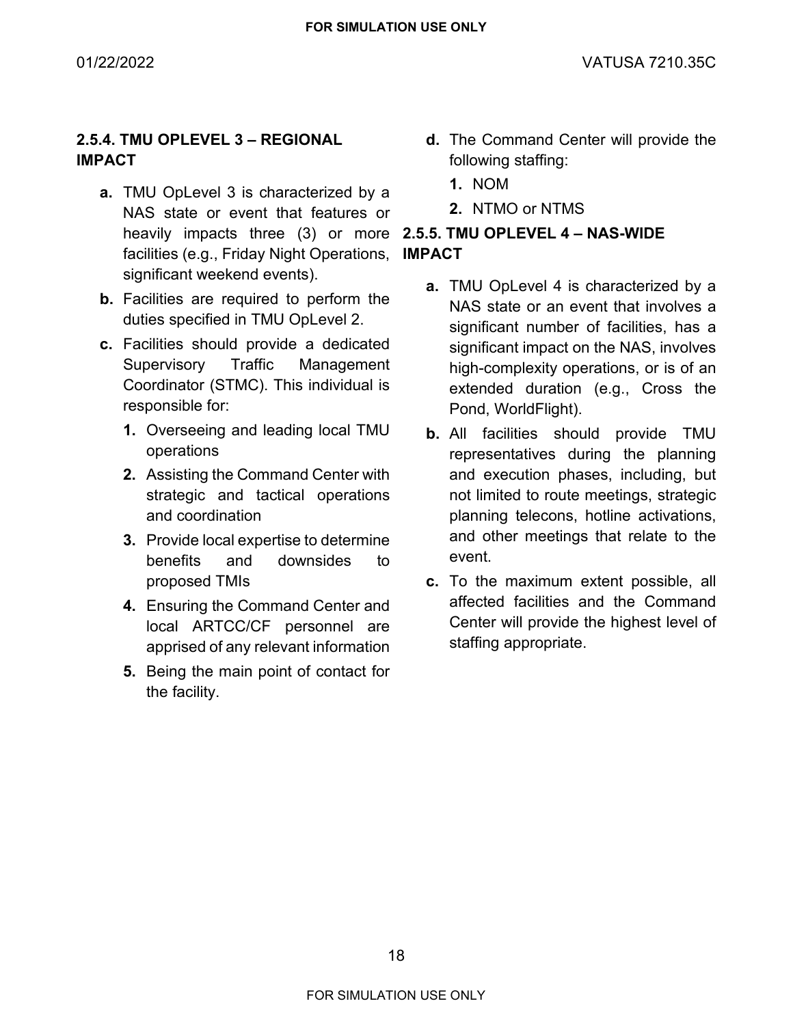### <span id="page-17-0"></span>**2.5.4. TMU OPLEVEL 3 – REGIONAL IMPACT**

- **a.** TMU OpLevel 3 is characterized by a NAS state or event that features or heavily impacts three (3) or more **2.5.5. TMU OPLEVEL 4 – NAS-WIDE**  facilities (e.g., Friday Night Operations, significant weekend events).
- **b.** Facilities are required to perform the duties specified in TMU OpLevel 2.
- **c.** Facilities should provide a dedicated Supervisory Traffic Management Coordinator (STMC). This individual is responsible for:
	- **1.** Overseeing and leading local TMU operations
	- **2.** Assisting the Command Center with strategic and tactical operations and coordination
	- **3.** Provide local expertise to determine benefits and downsides to proposed TMIs
	- **4.** Ensuring the Command Center and local ARTCC/CF personnel are apprised of any relevant information
	- **5.** Being the main point of contact for the facility.
- **d.** The Command Center will provide the following staffing:
	- **1.** NOM
	- **2.** NTMO or NTMS

## <span id="page-17-1"></span>**IMPACT**

- **a.** TMU OpLevel 4 is characterized by a NAS state or an event that involves a significant number of facilities, has a significant impact on the NAS, involves high-complexity operations, or is of an extended duration (e.g., Cross the Pond, WorldFlight).
- **b.** All facilities should provide TMU representatives during the planning and execution phases, including, but not limited to route meetings, strategic planning telecons, hotline activations, and other meetings that relate to the event.
- **c.** To the maximum extent possible, all affected facilities and the Command Center will provide the highest level of staffing appropriate.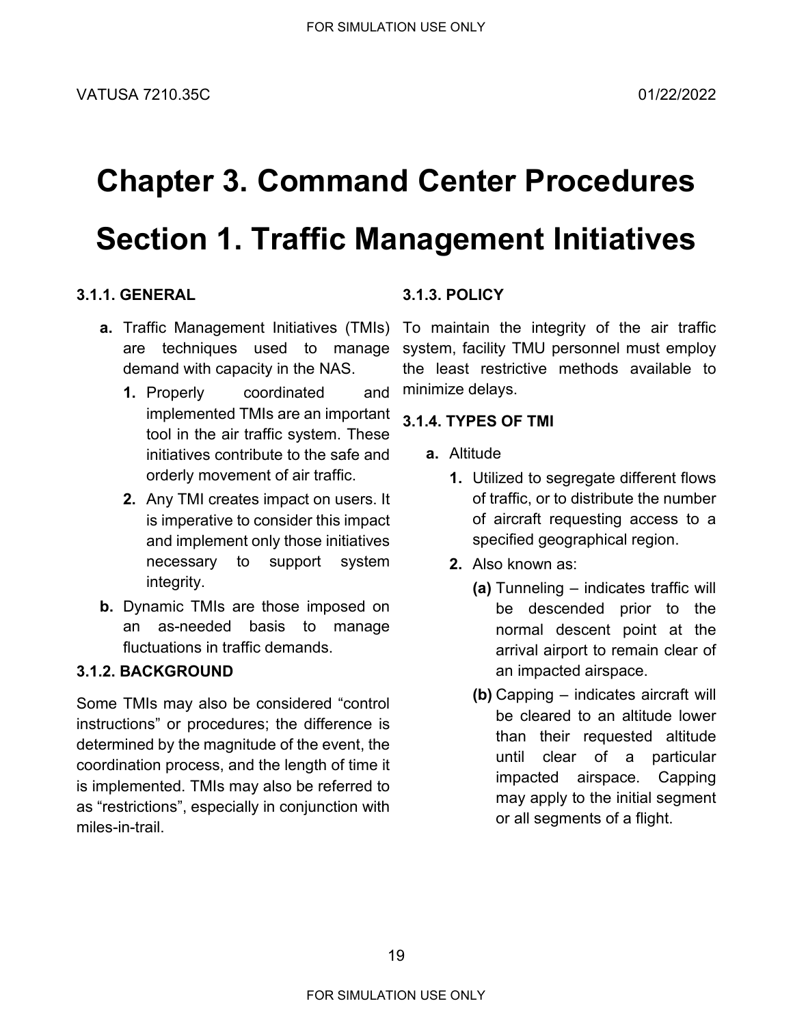# <span id="page-18-1"></span><span id="page-18-0"></span>**Chapter 3. Command Center Procedures Section 1. Traffic Management Initiatives**

### <span id="page-18-2"></span>**3.1.1. GENERAL**

- are techniques used to manage demand with capacity in the NAS.
	- **1.** Properly coordinated and implemented TMIs are an important tool in the air traffic system. These initiatives contribute to the safe and orderly movement of air traffic.
	- **2.** Any TMI creates impact on users. It is imperative to consider this impact and implement only those initiatives necessary to support system integrity.
- **b.** Dynamic TMIs are those imposed on an as-needed basis to manage fluctuations in traffic demands.

### <span id="page-18-3"></span>**3.1.2. BACKGROUND**

Some TMIs may also be considered "control instructions" or procedures; the difference is determined by the magnitude of the event, the coordination process, and the length of time it is implemented. TMIs may also be referred to as "restrictions", especially in conjunction with miles-in-trail.

### <span id="page-18-4"></span>**3.1.3. POLICY**

**a.** Traffic Management Initiatives (TMIs) To maintain the integrity of the air traffic system, facility TMU personnel must employ the least restrictive methods available to minimize delays.

### <span id="page-18-5"></span>**3.1.4. TYPES OF TMI**

- **a.** Altitude
	- **1.** Utilized to segregate different flows of traffic, or to distribute the number of aircraft requesting access to a specified geographical region.
	- **2.** Also known as:
		- **(a)** Tunneling indicates traffic will be descended prior to the normal descent point at the arrival airport to remain clear of an impacted airspace.
		- **(b)** Capping indicates aircraft will be cleared to an altitude lower than their requested altitude until clear of a particular impacted airspace. Capping may apply to the initial segment or all segments of a flight.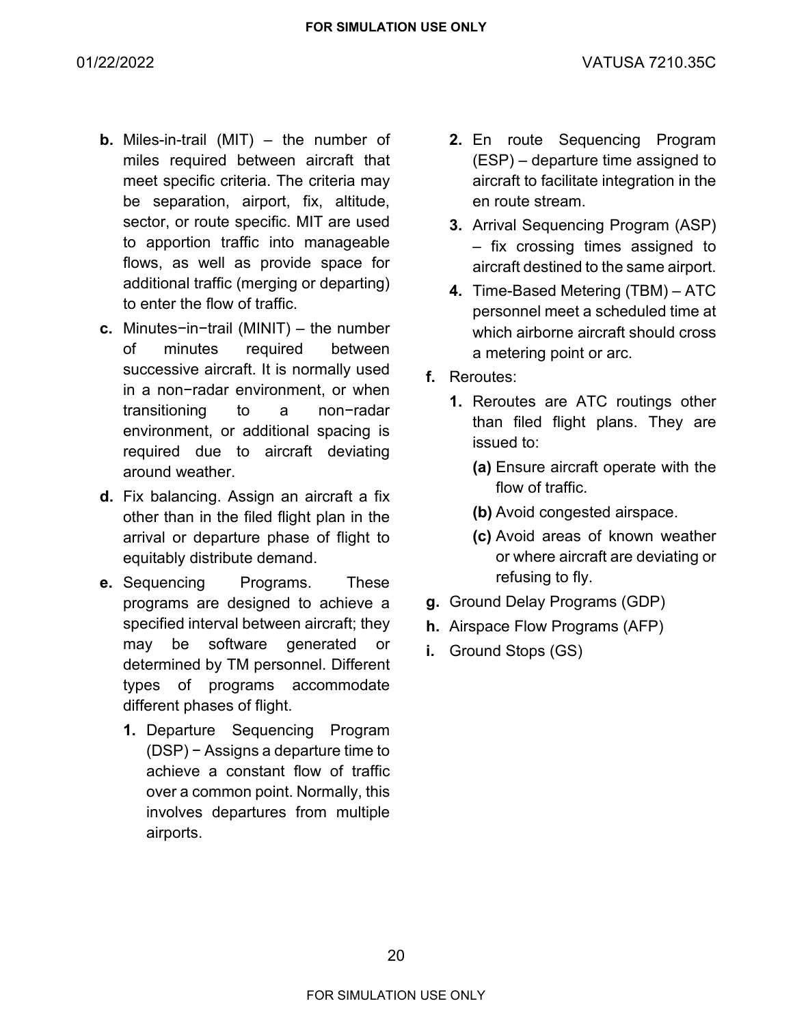- **b.** Miles-in-trail (MIT) the number of miles required between aircraft that meet specific criteria. The criteria may be separation, airport, fix, altitude, sector, or route specific. MIT are used to apportion traffic into manageable flows, as well as provide space for additional traffic (merging or departing) to enter the flow of traffic.
- **c.** Minutes−in−trail (MINIT) the number of minutes required between successive aircraft. It is normally used in a non−radar environment, or when transitioning to a non−radar environment, or additional spacing is required due to aircraft deviating around weather.
- **d.** Fix balancing. Assign an aircraft a fix other than in the filed flight plan in the arrival or departure phase of flight to equitably distribute demand.
- **e.** Sequencing Programs. These programs are designed to achieve a specified interval between aircraft; they may be software generated or determined by TM personnel. Different types of programs accommodate different phases of flight.
	- **1.** Departure Sequencing Program (DSP) − Assigns a departure time to achieve a constant flow of traffic over a common point. Normally, this involves departures from multiple airports.
- **2.** En route Sequencing Program (ESP) – departure time assigned to aircraft to facilitate integration in the en route stream.
- **3.** Arrival Sequencing Program (ASP) – fix crossing times assigned to aircraft destined to the same airport.
- **4.** Time-Based Metering (TBM) ATC personnel meet a scheduled time at which airborne aircraft should cross a metering point or arc.
- **f.** Reroutes:
	- **1.** Reroutes are ATC routings other than filed flight plans. They are issued to:
		- **(a)** Ensure aircraft operate with the flow of traffic.
		- **(b)** Avoid congested airspace.
		- **(c)** Avoid areas of known weather or where aircraft are deviating or refusing to fly.
- **g.** Ground Delay Programs (GDP)
- **h.** Airspace Flow Programs (AFP)
- **i.** Ground Stops (GS)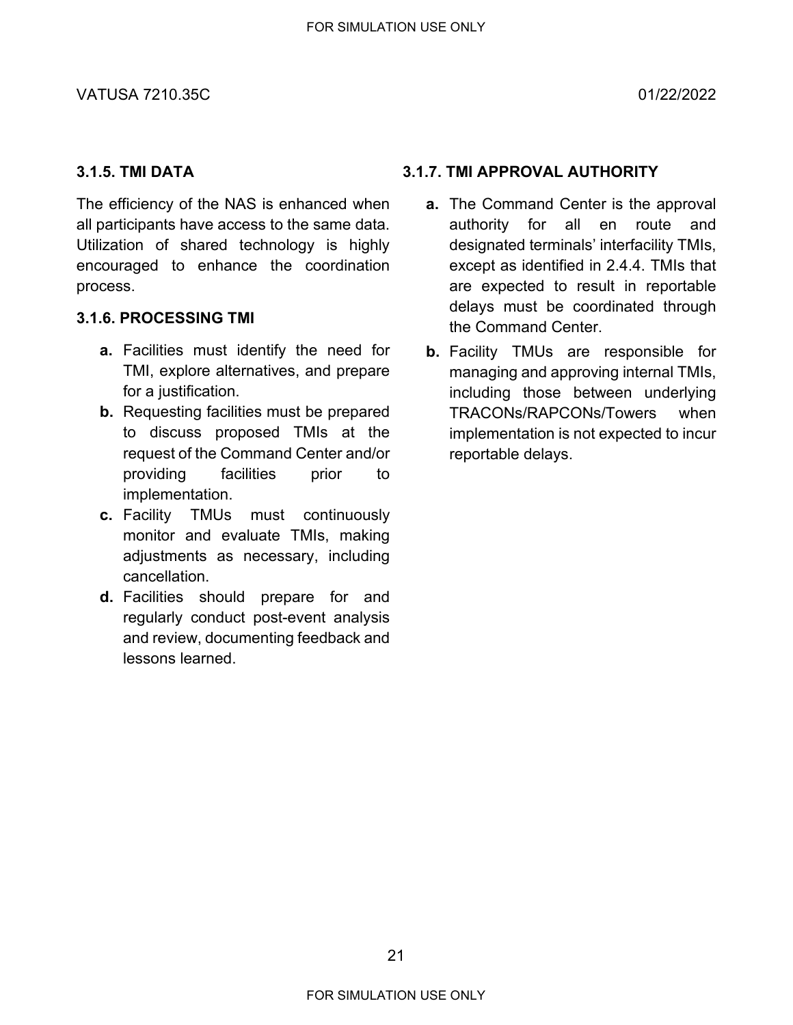### <span id="page-20-0"></span>**3.1.5. TMI DATA**

The efficiency of the NAS is enhanced when all participants have access to the same data. Utilization of shared technology is highly encouraged to enhance the coordination process.

### <span id="page-20-1"></span>**3.1.6. PROCESSING TMI**

- **a.** Facilities must identify the need for TMI, explore alternatives, and prepare for a justification.
- **b.** Requesting facilities must be prepared to discuss proposed TMIs at the request of the Command Center and/or providing facilities prior to implementation.
- **c.** Facility TMUs must continuously monitor and evaluate TMIs, making adjustments as necessary, including cancellation.
- **d.** Facilities should prepare for and regularly conduct post-event analysis and review, documenting feedback and lessons learned.

### <span id="page-20-2"></span>**3.1.7. TMI APPROVAL AUTHORITY**

- **a.** The Command Center is the approval authority for all en route and designated terminals' interfacility TMIs, except as identified in [2.4.4.](#page-14-2) TMIs that are expected to result in reportable delays must be coordinated through the Command Center.
- **b.** Facility TMUs are responsible for managing and approving internal TMIs, including those between underlying TRACONs/RAPCONs/Towers when implementation is not expected to incur reportable delays.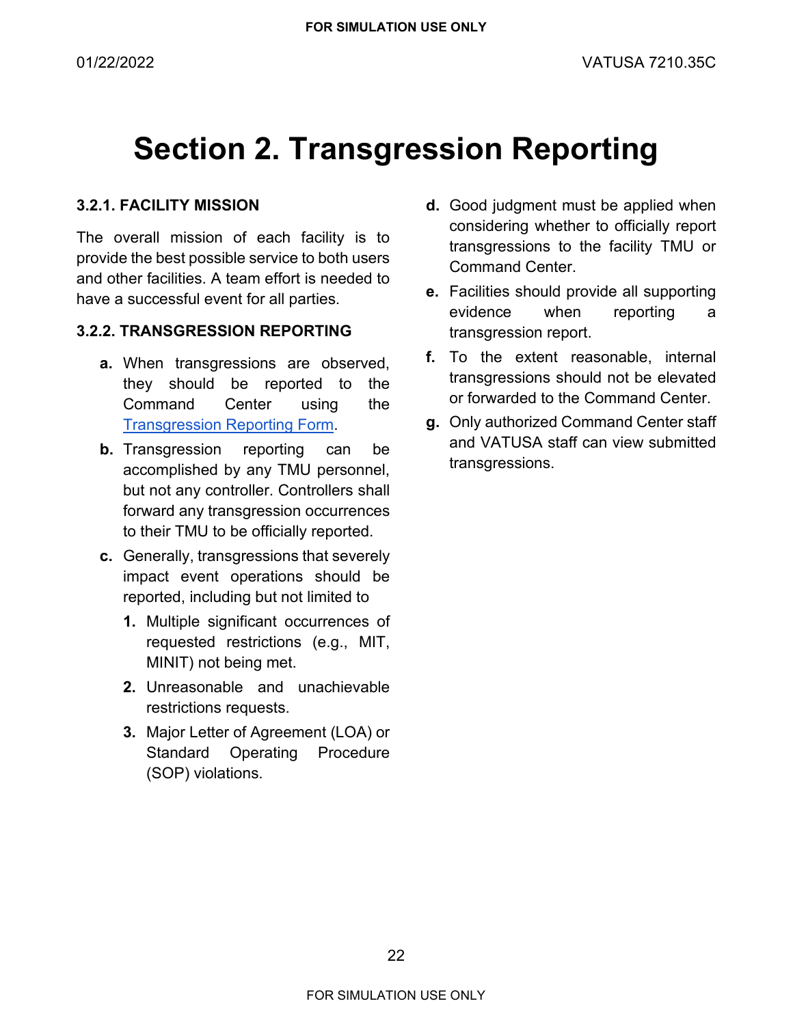### <span id="page-21-0"></span>**Section 2. Transgression Reporting**

### <span id="page-21-1"></span>**3.2.1. FACILITY MISSION**

The overall mission of each facility is to provide the best possible service to both users and other facilities. A team effort is needed to have a successful event for all parties.

### <span id="page-21-2"></span>**3.2.2. TRANSGRESSION REPORTING**

- **a.** When transgressions are observed, they should be reported to the Command Center using the [Transgression Reporting Form.](https://bit.ly/vATCSCC_Transgression_Reporting_Form)
- **b.** Transgression reporting can be accomplished by any TMU personnel, but not any controller. Controllers shall forward any transgression occurrences to their TMU to be officially reported.
- **c.** Generally, transgressions that severely impact event operations should be reported, including but not limited to
	- **1.** Multiple significant occurrences of requested restrictions (e.g., MIT, MINIT) not being met.
	- **2.** Unreasonable and unachievable restrictions requests.
	- **3.** Major Letter of Agreement (LOA) or Standard Operating Procedure (SOP) violations.
- **d.** Good judgment must be applied when considering whether to officially report transgressions to the facility TMU or Command Center.
- **e.** Facilities should provide all supporting evidence when reporting a transgression report.
- **f.** To the extent reasonable, internal transgressions should not be elevated or forwarded to the Command Center.
- **g.** Only authorized Command Center staff and VATUSA staff can view submitted transgressions.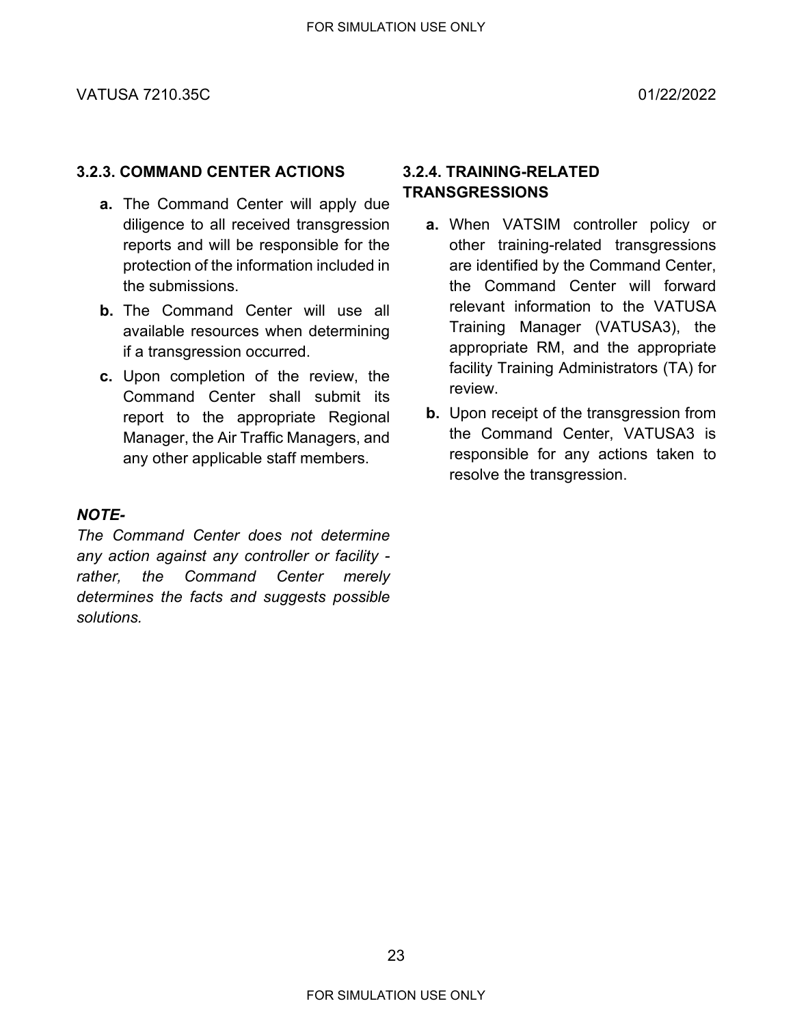### <span id="page-22-0"></span>**3.2.3. COMMAND CENTER ACTIONS**

- **a.** The Command Center will apply due diligence to all received transgression reports and will be responsible for the protection of the information included in the submissions.
- **b.** The Command Center will use all available resources when determining if a transgression occurred.
- **c.** Upon completion of the review, the Command Center shall submit its report to the appropriate Regional Manager, the Air Traffic Managers, and any other applicable staff members.

### *NOTE-*

*The Command Center does not determine any action against any controller or facility rather, the Command Center merely determines the facts and suggests possible solutions.*

### <span id="page-22-1"></span>**3.2.4. TRAINING-RELATED TRANSGRESSIONS**

- **a.** When VATSIM controller policy or other training-related transgressions are identified by the Command Center, the Command Center will forward relevant information to the VATUSA Training Manager (VATUSA3), the appropriate RM, and the appropriate facility Training Administrators (TA) for review.
- **b.** Upon receipt of the transgression from the Command Center, VATUSA3 is responsible for any actions taken to resolve the transgression.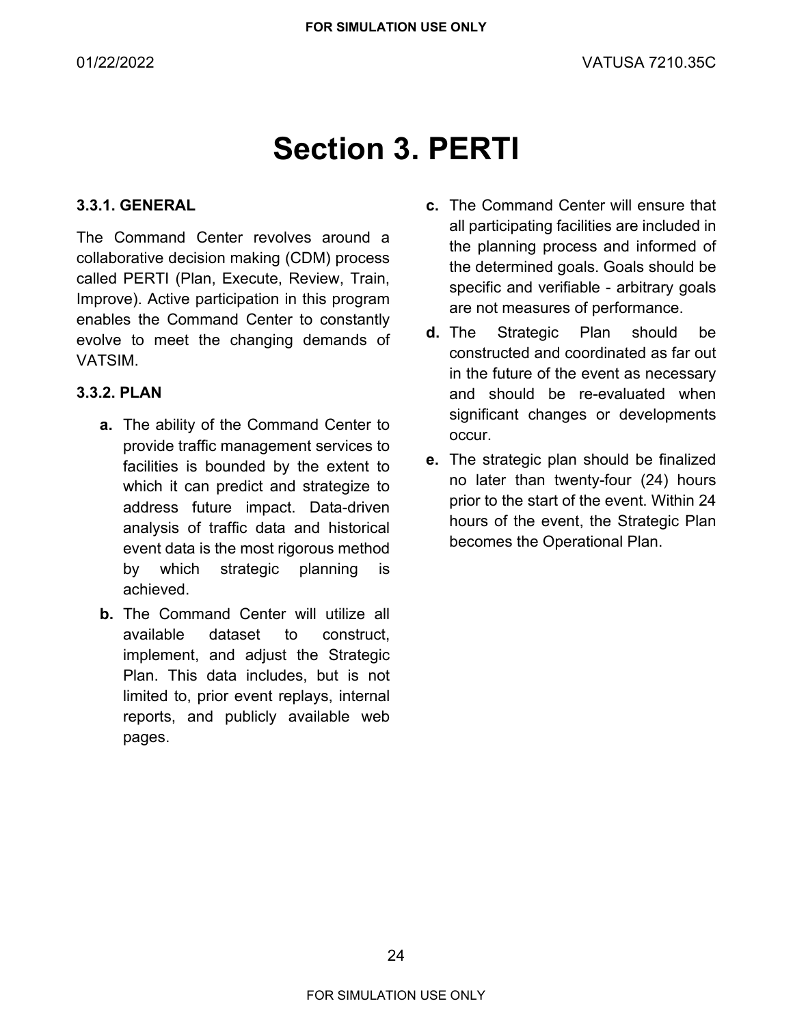### **Section 3. PERTI**

### <span id="page-23-1"></span><span id="page-23-0"></span>**3.3.1. GENERAL**

The Command Center revolves around a collaborative decision making (CDM) process called PERTI (Plan, Execute, Review, Train, Improve). Active participation in this program enables the Command Center to constantly evolve to meet the changing demands of VATSIM.

### <span id="page-23-2"></span>**3.3.2. PLAN**

- **a.** The ability of the Command Center to provide traffic management services to facilities is bounded by the extent to which it can predict and strategize to address future impact. Data-driven analysis of traffic data and historical event data is the most rigorous method by which strategic planning is achieved.
- **b.** The Command Center will utilize all available dataset to construct, implement, and adjust the Strategic Plan. This data includes, but is not limited to, prior event replays, internal reports, and publicly available web pages.
- **c.** The Command Center will ensure that all participating facilities are included in the planning process and informed of the determined goals. Goals should be specific and verifiable - arbitrary goals are not measures of performance.
- **d.** The Strategic Plan should be constructed and coordinated as far out in the future of the event as necessary and should be re-evaluated when significant changes or developments occur.
- **e.** The strategic plan should be finalized no later than twenty-four (24) hours prior to the start of the event. Within 24 hours of the event, the Strategic Plan becomes the Operational Plan.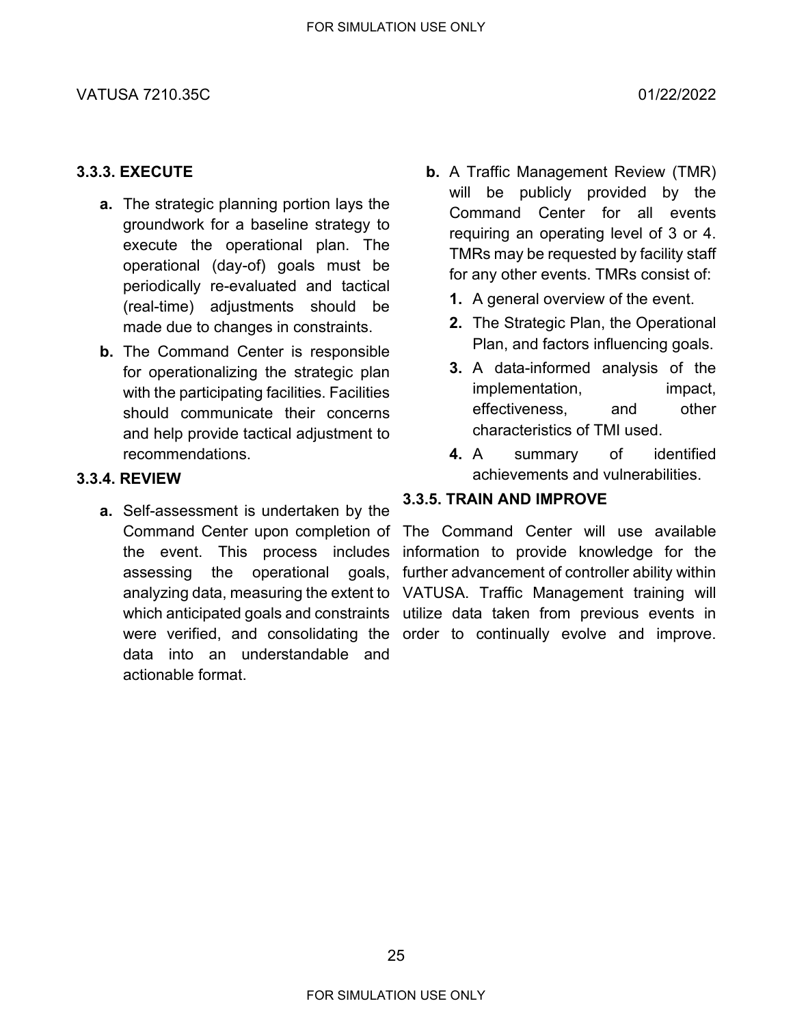#### VATUSA 7210.35C 01/22/2022

#### <span id="page-24-0"></span>**3.3.3. EXECUTE**

- **a.** The strategic planning portion lays the groundwork for a baseline strategy to execute the operational plan. The operational (day-of) goals must be periodically re-evaluated and tactical (real-time) adjustments should be made due to changes in constraints.
- **b.** The Command Center is responsible for operationalizing the strategic plan with the participating facilities. Facilities should communicate their concerns and help provide tactical adjustment to recommendations.

### <span id="page-24-1"></span>**3.3.4. REVIEW**

**a.** Self-assessment is undertaken by the Command Center upon completion of the event. This process includes assessing the operational goals, data into an understandable and actionable format.

- **b.** A Traffic Management Review (TMR) will be publicly provided by the Command Center for all events requiring an operating level of 3 or 4. TMRs may be requested by facility staff for any other events. TMRs consist of:
	- **1.** A general overview of the event.
	- **2.** The Strategic Plan, the Operational Plan, and factors influencing goals.
	- **3.** A data-informed analysis of the implementation, impact, effectiveness, and other characteristics of TMI used.
	- **4.** A summary of identified achievements and vulnerabilities.

### <span id="page-24-2"></span>**3.3.5. TRAIN AND IMPROVE**

analyzing data, measuring the extent to VATUSA. Traffic Management training will which anticipated goals and constraints utilize data taken from previous events in were verified, and consolidating the order to continually evolve and improve.The Command Center will use available information to provide knowledge for the further advancement of controller ability within